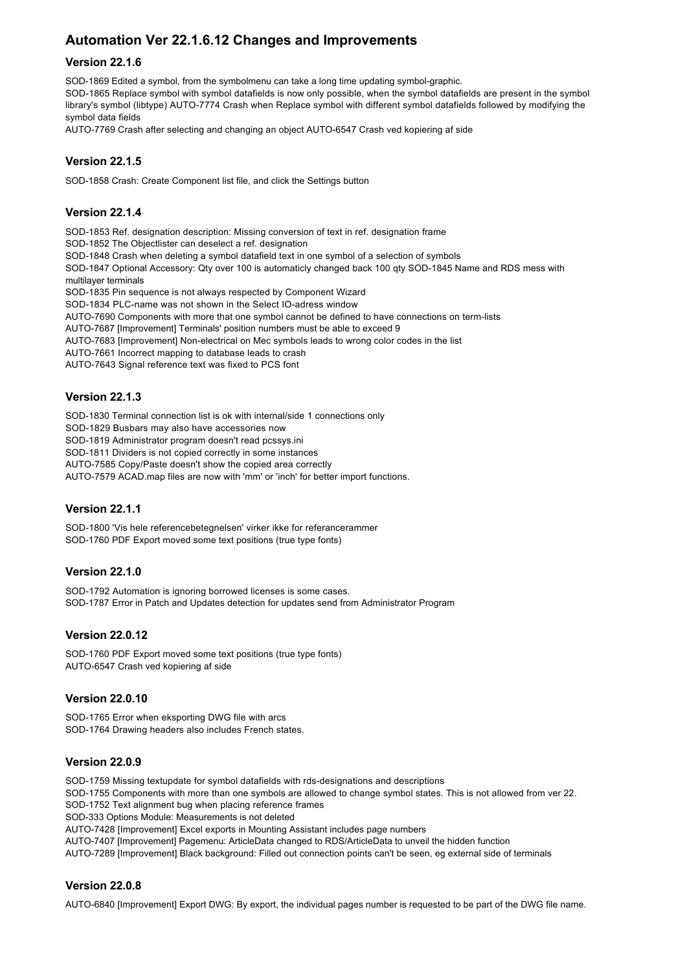# **Automation Ver 22.1.6.12 Changes and Improvements**

#### **Version 22.1.6**

SOD-1869 Edited a symbol, from the symbolmenu can take a long time updating symbol-graphic. SOD-1865 Replace symbol with symbol datafields is now only possible, when the symbol datafields are present in the symbol library's symbol (libtype) AUTO-7774 Crash when Replace symbol with different symbol datafields followed by modifying the symbol data fields

AUTO-7769 Crash after selecting and changing an object AUTO-6547 Crash ved kopiering af side

## **Version 22.1.5**

SOD-1858 Crash: Create Component list file, and click the Settings button

# **Version 22.1.4**

SOD-1853 Ref. designation description: Missing conversion of text in ref. designation frame SOD-1852 The Objectlister can deselect a ref. designation SOD-1848 Crash when deleting a symbol datafield text in one symbol of a selection of symbols SOD-1847 Optional Accessory: Qty over 100 is automaticly changed back 100 qty SOD-1845 Name and RDS mess with multilayer terminals SOD-1835 Pin sequence is not always respected by Component Wizard SOD-1834 PLC-name was not shown in the Select IO-adress window AUTO-7690 Components with more that one symbol cannot be defined to have connections on term-lists AUTO-7687 [Improvement] Terminals' position numbers must be able to exceed 9 AUTO-7683 [Improvement] Non-electrical on Mec symbols leads to wrong color codes in the list AUTO-7661 Incorrect mapping to database leads to crash AUTO-7643 Signal reference text was fixed to PCS font **Version 22.1.3**

SOD-1830 Terminal connection list is ok with internal/side 1 connections only SOD-1829 Busbars may also have accessories now SOD-1819 Administrator program doesn't read pcssys.ini SOD-1811 Dividers is not copied correctly in some instances AUTO-7585 Copy/Paste doesn't show the copied area correctly AUTO-7579 ACAD.map files are now with 'mm' or 'inch' for better import functions.

#### **Version 22.1.1**

SOD-1800 'Vis hele referencebetegnelsen' virker ikke for referancerammer SOD-1760 PDF Export moved some text positions (true type fonts)

#### **Version 22.1.0**

SOD-1792 Automation is ignoring borrowed licenses is some cases. SOD-1787 Error in Patch and Updates detection for updates send from Administrator Program

#### **Version 22.0.12**

SOD-1760 PDF Export moved some text positions (true type fonts) AUTO-6547 Crash ved kopiering af side

#### **Version 22.0.10**

SOD-1765 Error when eksporting DWG file with arcs SOD-1764 Drawing headers also includes French states.

#### **Version 22.0.9**

SOD-1759 Missing textupdate for symbol datafields with rds-designations and descriptions

SOD-1755 Components with more than one symbols are allowed to change symbol states. This is not allowed from ver 22.

SOD-1752 Text alignment bug when placing reference frames

SOD-333 Options Module: Measurements is not deleted

AUTO-7428 [Improvement] Excel exports in Mounting Assistant includes page numbers

AUTO-7407 [Improvement] Pagemenu: ArticleData changed to RDS/ArticleData to unveil the hidden function

AUTO-7289 [Improvement] Black background: Filled out connection points can't be seen, eg external side of terminals

#### **Version 22.0.8**

AUTO-6840 [Improvement] Export DWG: By export, the individual pages number is requested to be part of the DWG file name.